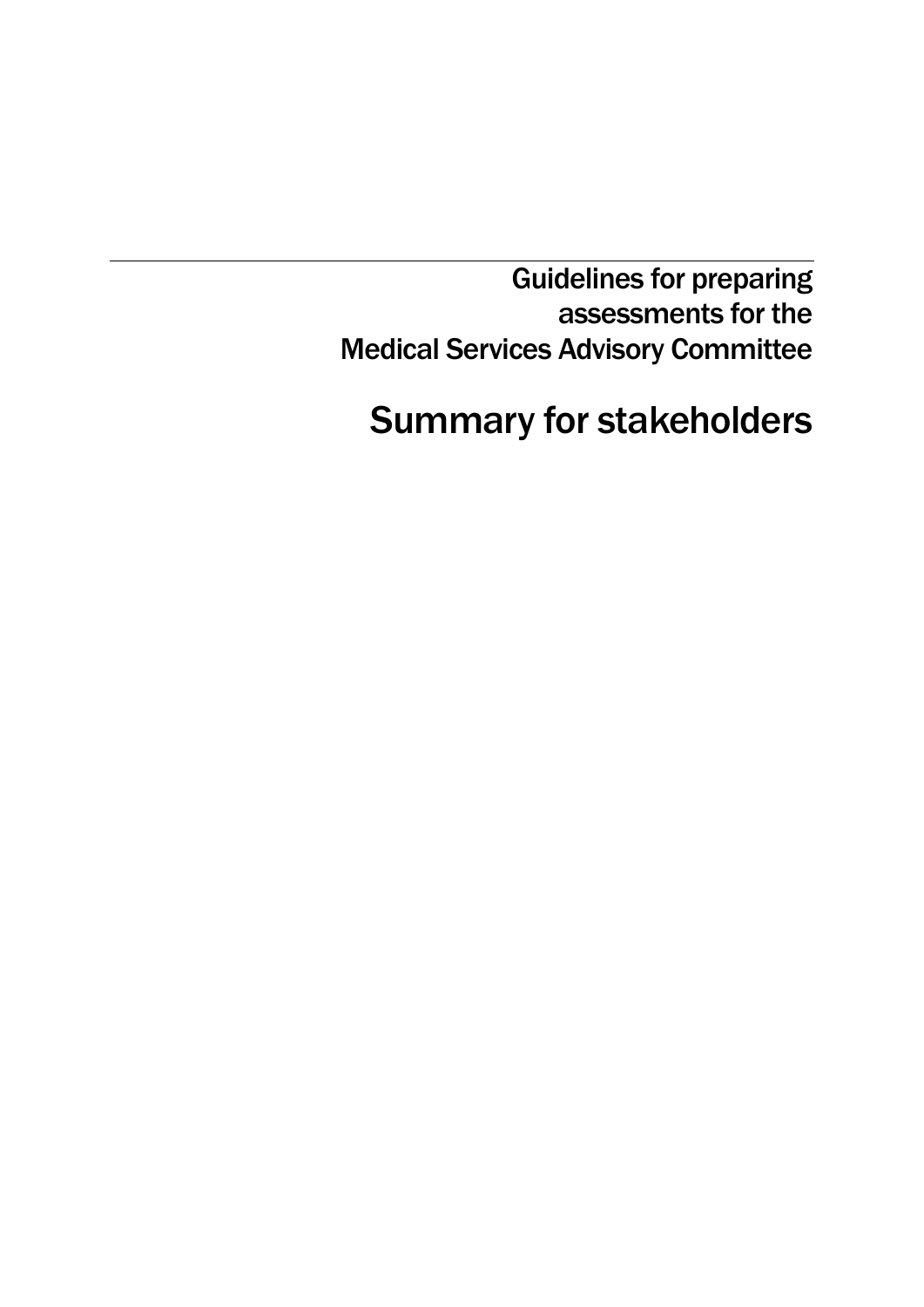Guidelines for preparing assessments for the Medical Services Advisory Committee

# Summary for stakeholders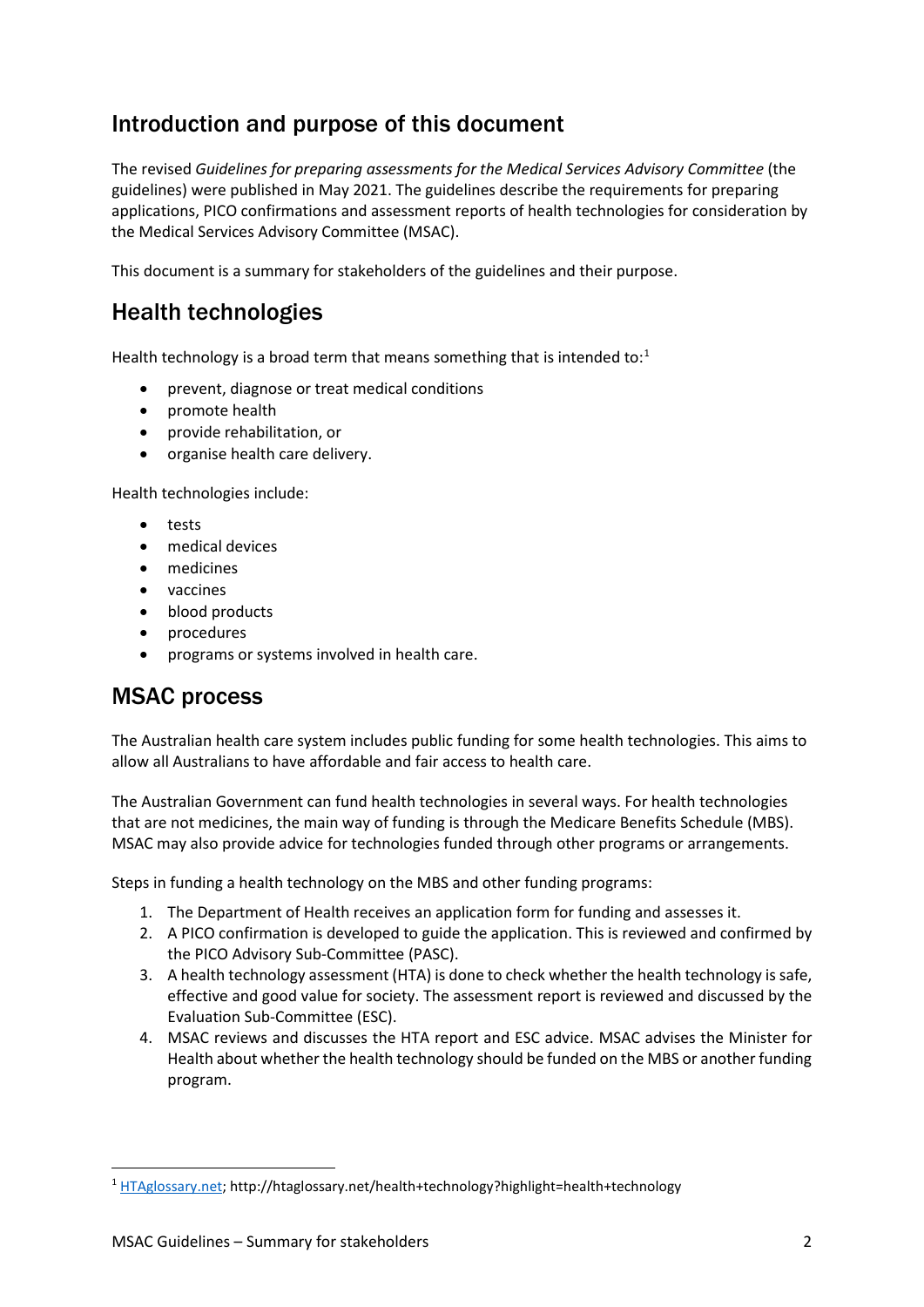# Introduction and purpose of this document

The revised *Guidelines for preparing assessments for the Medical Services Advisory Committee* (the guidelines) were published in May 2021. The guidelines describe the requirements for preparing applications, PICO confirmations and assessment reports of health technologies for consideration by the Medical Services Advisory Committee (MSAC).

This document is a summary for stakeholders of the guidelines and their purpose.

### Health technologies

Health technology is a broad term that means something that is intended to: $1$ 

- prevent, diagnose or treat medical conditions
- promote health
- provide rehabilitation, or
- organise health care delivery.

Health technologies include:

- tests
- medical devices
- medicines
- vaccines
- blood products
- procedures
- programs or systems involved in health care.

### MSAC process

The Australian health care system includes public funding for some health technologies. This aims to allow all Australians to have affordable and fair access to health care.

The Australian Government can fund health technologies in several ways. For health technologies that are not medicines, the main way of funding is through the Medicare Benefits Schedule (MBS). MSAC may also provide advice for technologies funded through other programs or arrangements.

Steps in funding a health technology on the MBS and other funding programs:

- 1. The Department of Health receives an application form for funding and assesses it.
- 2. A PICO confirmation is developed to guide the application. This is reviewed and confirmed by the PICO Advisory Sub-Committee (PASC).
- 3. A health technology assessment (HTA) is done to check whether the health technology is safe, effective and good value for society. The assessment report is reviewed and discussed by the Evaluation Sub-Committee (ESC).
- 4. MSAC reviews and discusses the HTA report and ESC advice. MSAC advises the Minister for Health about whether the health technology should be funded on the MBS or another funding program.

<span id="page-1-0"></span> <sup>1</sup> [HTAglossary.net;](http://htaglossary.net/health+technology?highlight=health+technology) http://htaglossary.net/health+technology?highlight=health+technology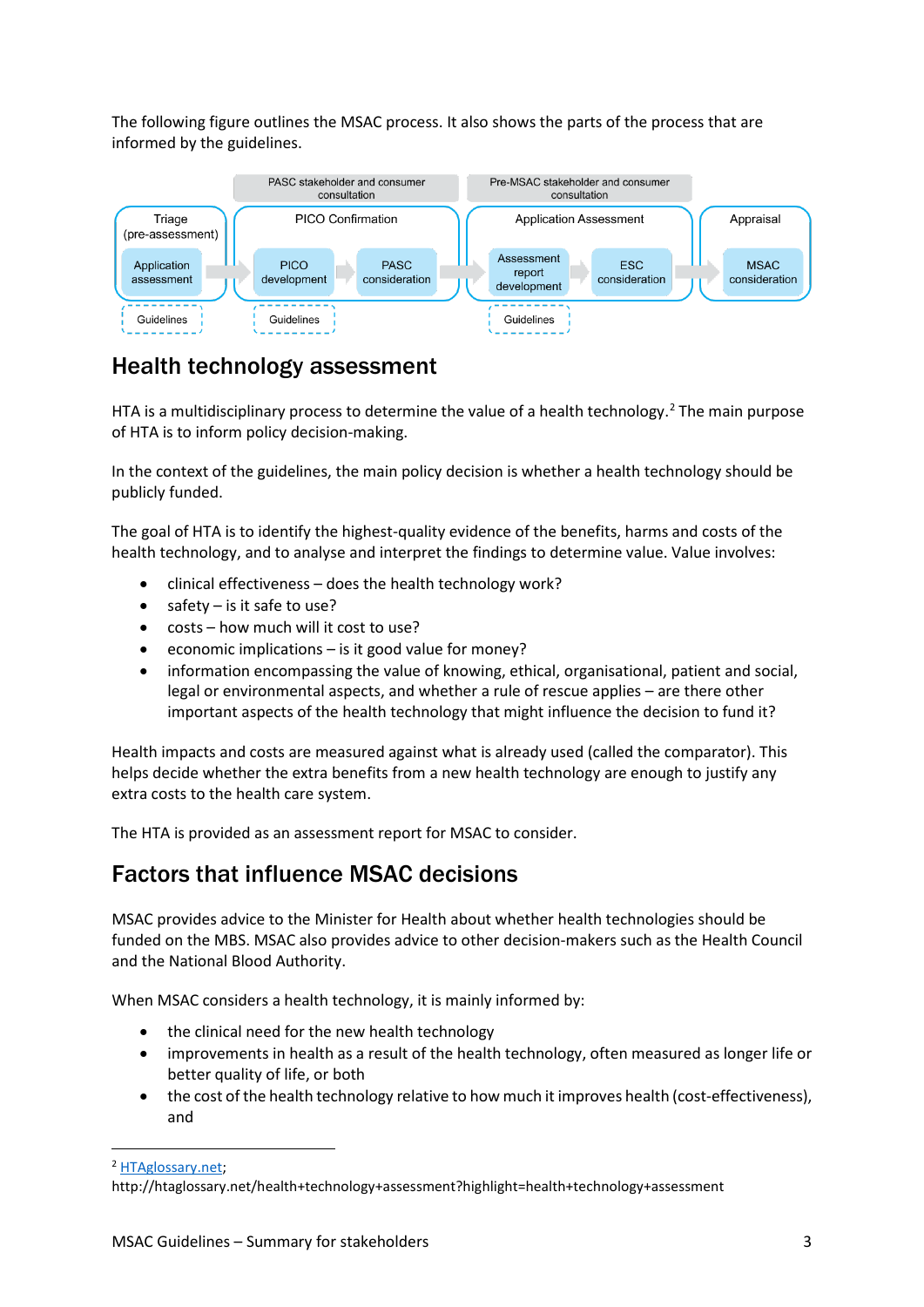The following figure outlines the MSAC process. It also shows the parts of the process that are informed by the guidelines.



### Health technology assessment

HTA is a multidisciplinary process to determine the value of a health technology.<sup>[2](#page-2-0)</sup> The main purpose of HTA is to inform policy decision-making.

In the context of the guidelines, the main policy decision is whether a health technology should be publicly funded.

The goal of HTA is to identify the highest-quality evidence of the benefits, harms and costs of the health technology, and to analyse and interpret the findings to determine value. Value involves:

- clinical effectiveness does the health technology work?
- safety is it safe to use?
- costs how much will it cost to use?
- economic implications is it good value for money?
- information encompassing the value of knowing, ethical, organisational, patient and social, legal or environmental aspects, and whether a rule of rescue applies – are there other important aspects of the health technology that might influence the decision to fund it?

Health impacts and costs are measured against what is already used (called the comparator). This helps decide whether the extra benefits from a new health technology are enough to justify any extra costs to the health care system.

The HTA is provided as an assessment report for MSAC to consider.

### Factors that influence MSAC decisions

MSAC provides advice to the Minister for Health about whether health technologies should be funded on the MBS. MSAC also provides advice to other decision-makers such as the Health Council and the National Blood Authority.

When MSAC considers a health technology, it is mainly informed by:

- the clinical need for the new health technology
- improvements in health as a result of the health technology, often measured as longer life or better quality of life, or both
- the cost of the health technology relative to how much it improves health (cost-effectiveness), and

<span id="page-2-0"></span><sup>2</sup> [HTAglossary.net;](http://htaglossary.net/health+technology+assessment?highlight=health+technology+assessment) 

**.** 

http://htaglossary.net/health+technology+assessment?highlight=health+technology+assessment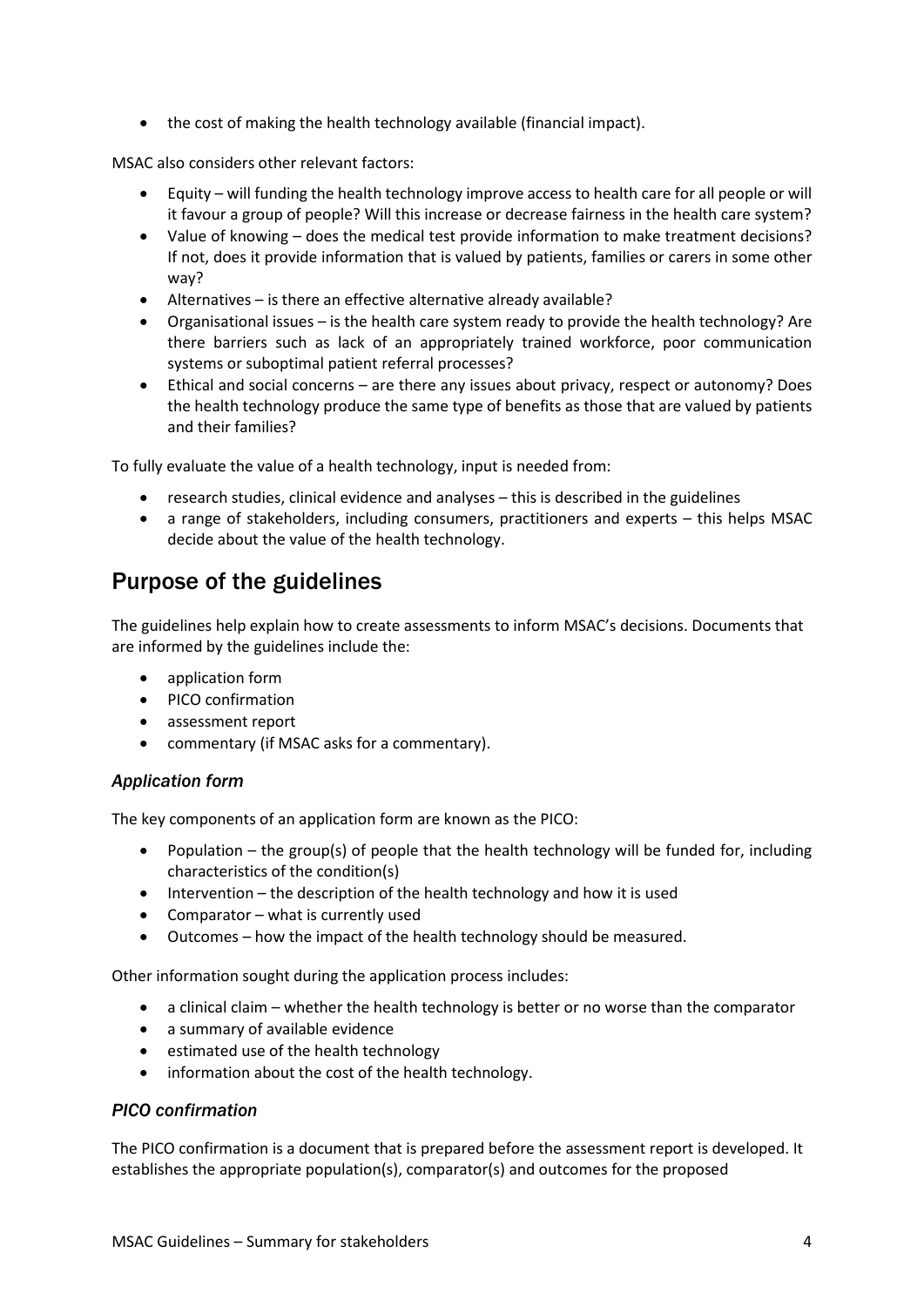• the cost of making the health technology available (financial impact).

MSAC also considers other relevant factors:

- Equity will funding the health technology improve access to health care for all people or will it favour a group of people? Will this increase or decrease fairness in the health care system?
- Value of knowing does the medical test provide information to make treatment decisions? If not, does it provide information that is valued by patients, families or carers in some other way?
- Alternatives is there an effective alternative already available?
- Organisational issues is the health care system ready to provide the health technology? Are there barriers such as lack of an appropriately trained workforce, poor communication systems or suboptimal patient referral processes?
- Ethical and social concerns are there any issues about privacy, respect or autonomy? Does the health technology produce the same type of benefits as those that are valued by patients and their families?

To fully evaluate the value of a health technology, input is needed from:

- research studies, clinical evidence and analyses this is described in the guidelines
- a range of stakeholders, including consumers, practitioners and experts this helps MSAC decide about the value of the health technology.

# Purpose of the guidelines

The guidelines help explain how to create assessments to inform MSAC's decisions. Documents that are informed by the guidelines include the:

- application form
- PICO confirmation
- assessment report
- commentary (if MSAC asks for a commentary).

### *Application form*

The key components of an application form are known as the PICO:

- Population the group(s) of people that the health technology will be funded for, including characteristics of the condition(s)
- Intervention the description of the health technology and how it is used
- Comparator what is currently used
- Outcomes how the impact of the health technology should be measured.

Other information sought during the application process includes:

- a clinical claim whether the health technology is better or no worse than the comparator
- a summary of available evidence
- estimated use of the health technology
- information about the cost of the health technology.

### *PICO confirmation*

The PICO confirmation is a document that is prepared before the assessment report is developed. It establishes the appropriate population(s), comparator(s) and outcomes for the proposed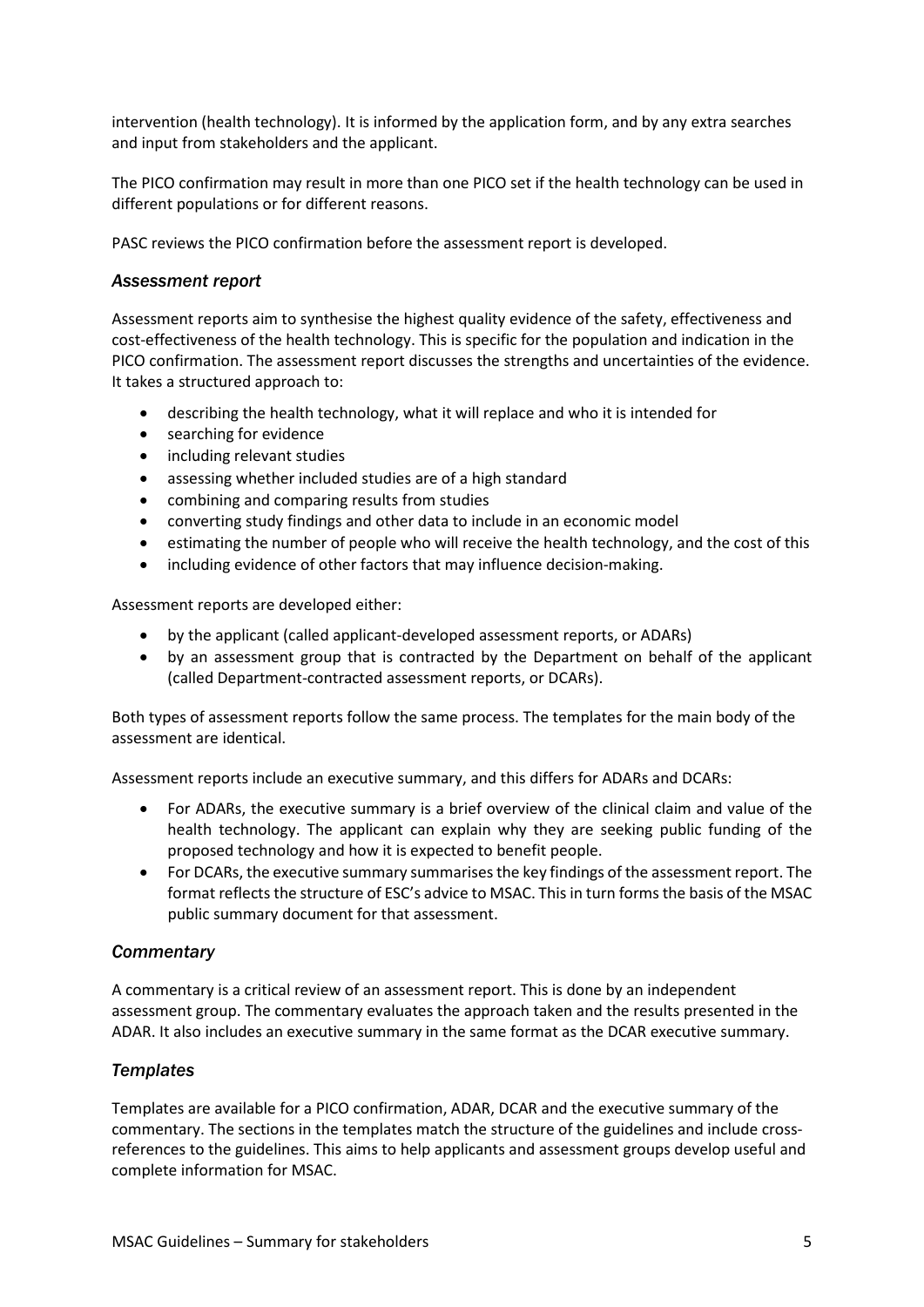intervention (health technology). It is informed by the application form, and by any extra searches and input from stakeholders and the applicant.

The PICO confirmation may result in more than one PICO set if the health technology can be used in different populations or for different reasons.

PASC reviews the PICO confirmation before the assessment report is developed.

### *Assessment report*

Assessment reports aim to synthesise the highest quality evidence of the safety, effectiveness and cost-effectiveness of the health technology. This is specific for the population and indication in the PICO confirmation. The assessment report discusses the strengths and uncertainties of the evidence. It takes a structured approach to:

- describing the health technology, what it will replace and who it is intended for
- searching for evidence
- including relevant studies
- assessing whether included studies are of a high standard
- combining and comparing results from studies
- converting study findings and other data to include in an economic model
- estimating the number of people who will receive the health technology, and the cost of this
- including evidence of other factors that may influence decision-making.

Assessment reports are developed either:

- by the applicant (called applicant-developed assessment reports, or ADARs)
- by an assessment group that is contracted by the Department on behalf of the applicant (called Department-contracted assessment reports, or DCARs).

Both types of assessment reports follow the same process. The templates for the main body of the assessment are identical.

Assessment reports include an executive summary, and this differs for ADARs and DCARs:

- For ADARs, the executive summary is a brief overview of the clinical claim and value of the health technology. The applicant can explain why they are seeking public funding of the proposed technology and how it is expected to benefit people.
- For DCARs, the executive summary summarises the key findings of the assessment report. The format reflects the structure of ESC's advice to MSAC. This in turn forms the basis of the MSAC public summary document for that assessment.

### *Commentary*

A commentary is a critical review of an assessment report. This is done by an independent assessment group. The commentary evaluates the approach taken and the results presented in the ADAR. It also includes an executive summary in the same format as the DCAR executive summary.

### *Templates*

Templates are available for a PICO confirmation, ADAR, DCAR and the executive summary of the commentary. The sections in the templates match the structure of the guidelines and include crossreferences to the guidelines. This aims to help applicants and assessment groups develop useful and complete information for MSAC.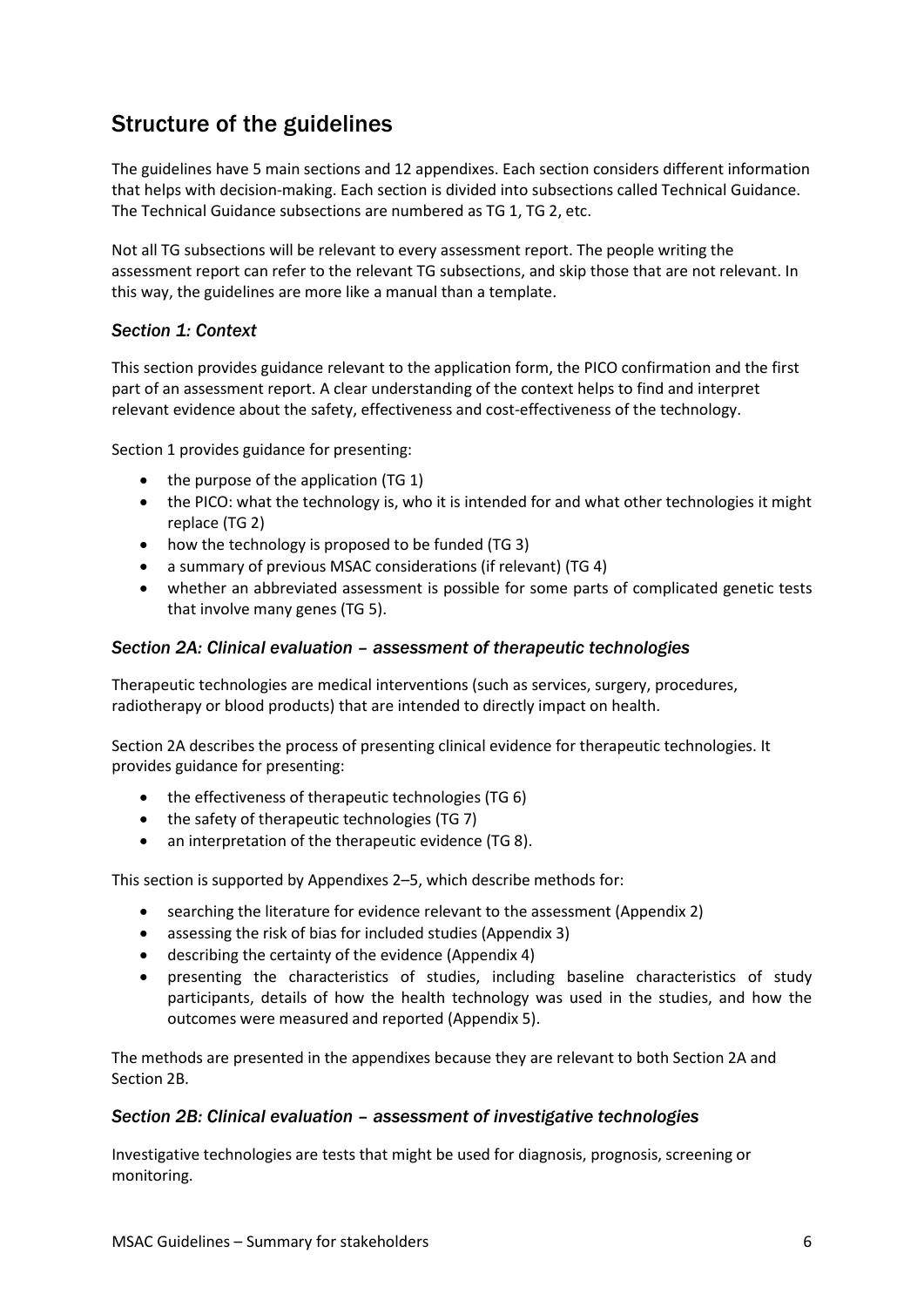# Structure of the guidelines

The guidelines have 5 main sections and 12 appendixes. Each section considers different information that helps with decision-making. Each section is divided into subsections called Technical Guidance. The Technical Guidance subsections are numbered as TG 1, TG 2, etc.

Not all TG subsections will be relevant to every assessment report. The people writing the assessment report can refer to the relevant TG subsections, and skip those that are not relevant. In this way, the guidelines are more like a manual than a template.

### *Section 1: Context*

This section provides guidance relevant to the application form, the PICO confirmation and the first part of an assessment report. A clear understanding of the context helps to find and interpret relevant evidence about the safety, effectiveness and cost-effectiveness of the technology.

Section 1 provides guidance for presenting:

- the purpose of the application (TG 1)
- the PICO: what the technology is, who it is intended for and what other technologies it might replace (TG 2)
- how the technology is proposed to be funded (TG 3)
- a summary of previous MSAC considerations (if relevant) (TG 4)
- whether an abbreviated assessment is possible for some parts of complicated genetic tests that involve many genes (TG 5).

### *Section 2A: Clinical evaluation – assessment of therapeutic technologies*

Therapeutic technologies are medical interventions (such as services, surgery, procedures, radiotherapy or blood products) that are intended to directly impact on health.

Section 2A describes the process of presenting clinical evidence for therapeutic technologies. It provides guidance for presenting:

- the effectiveness of therapeutic technologies (TG 6)
- the safety of therapeutic technologies (TG 7)
- an interpretation of the therapeutic evidence (TG 8).

This section is supported by Appendixes 2–5, which describe methods for:

- searching the literature for evidence relevant to the assessment (Appendix 2)
- assessing the risk of bias for included studies (Appendix 3)
- describing the certainty of the evidence (Appendix 4)
- presenting the characteristics of studies, including baseline characteristics of study participants, details of how the health technology was used in the studies, and how the outcomes were measured and reported (Appendix 5).

The methods are presented in the appendixes because they are relevant to both Section 2A and Section 2B.

#### *Section 2B: Clinical evaluation – assessment of investigative technologies*

Investigative technologies are tests that might be used for diagnosis, prognosis, screening or monitoring.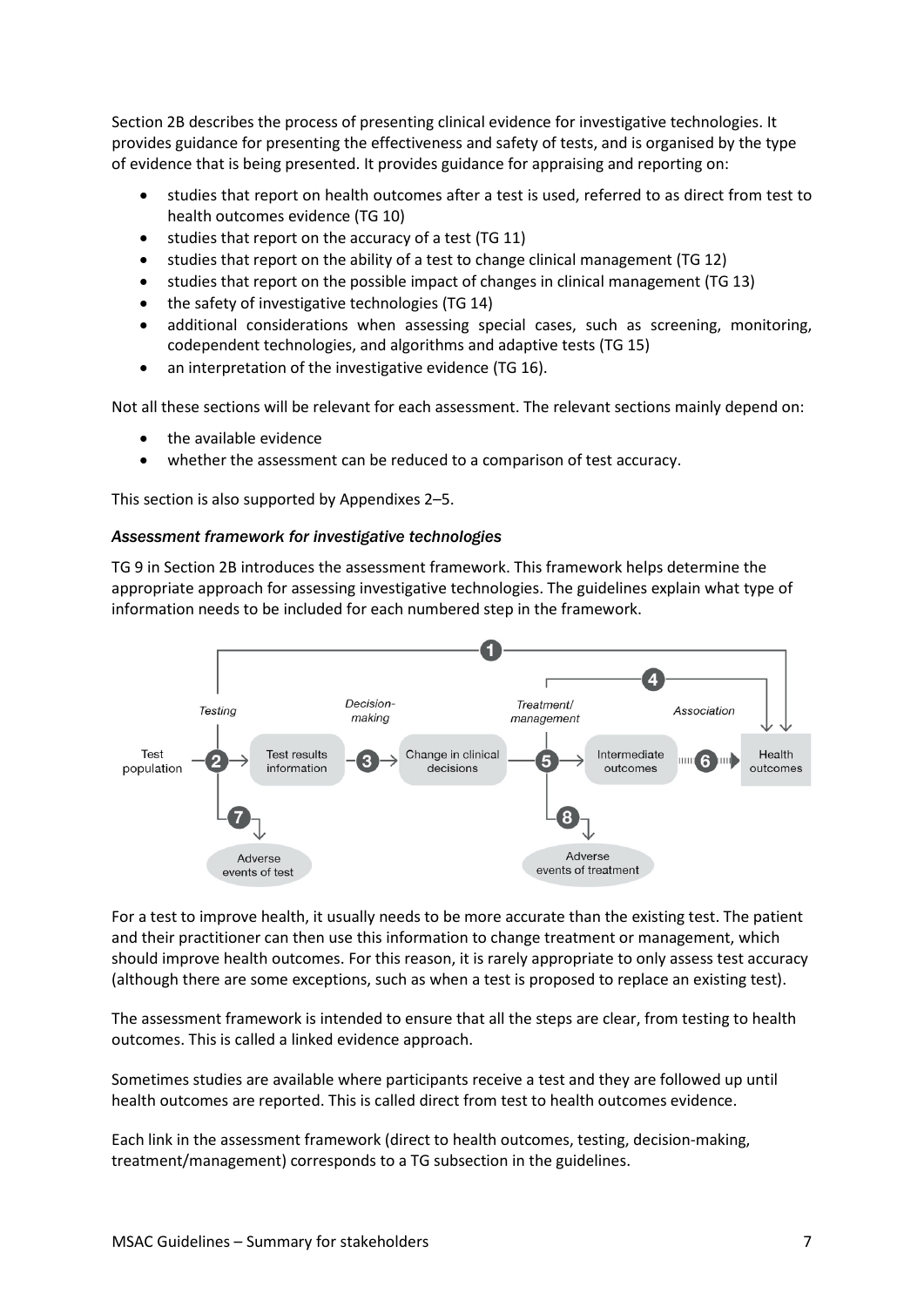Section 2B describes the process of presenting clinical evidence for investigative technologies. It provides guidance for presenting the effectiveness and safety of tests, and is organised by the type of evidence that is being presented. It provides guidance for appraising and reporting on:

- studies that report on health outcomes after a test is used, referred to as direct from test to health outcomes evidence (TG 10)
- studies that report on the accuracy of a test (TG 11)
- studies that report on the ability of a test to change clinical management (TG 12)
- studies that report on the possible impact of changes in clinical management (TG 13)
- the safety of investigative technologies (TG 14)
- additional considerations when assessing special cases, such as screening, monitoring, codependent technologies, and algorithms and adaptive tests (TG 15)
- an interpretation of the investigative evidence (TG 16).

Not all these sections will be relevant for each assessment. The relevant sections mainly depend on:

- the available evidence
- whether the assessment can be reduced to a comparison of test accuracy.

This section is also supported by Appendixes 2–5.

#### *Assessment framework for investigative technologies*

TG 9 in Section 2B introduces the assessment framework. This framework helps determine the appropriate approach for assessing investigative technologies. The guidelines explain what type of information needs to be included for each numbered step in the framework.



For a test to improve health, it usually needs to be more accurate than the existing test. The patient and their practitioner can then use this information to change treatment or management, which should improve health outcomes. For this reason, it is rarely appropriate to only assess test accuracy (although there are some exceptions, such as when a test is proposed to replace an existing test).

The assessment framework is intended to ensure that all the steps are clear, from testing to health outcomes. This is called a linked evidence approach.

Sometimes studies are available where participants receive a test and they are followed up until health outcomes are reported. This is called direct from test to health outcomes evidence.

Each link in the assessment framework (direct to health outcomes, testing, decision-making, treatment/management) corresponds to a TG subsection in the guidelines.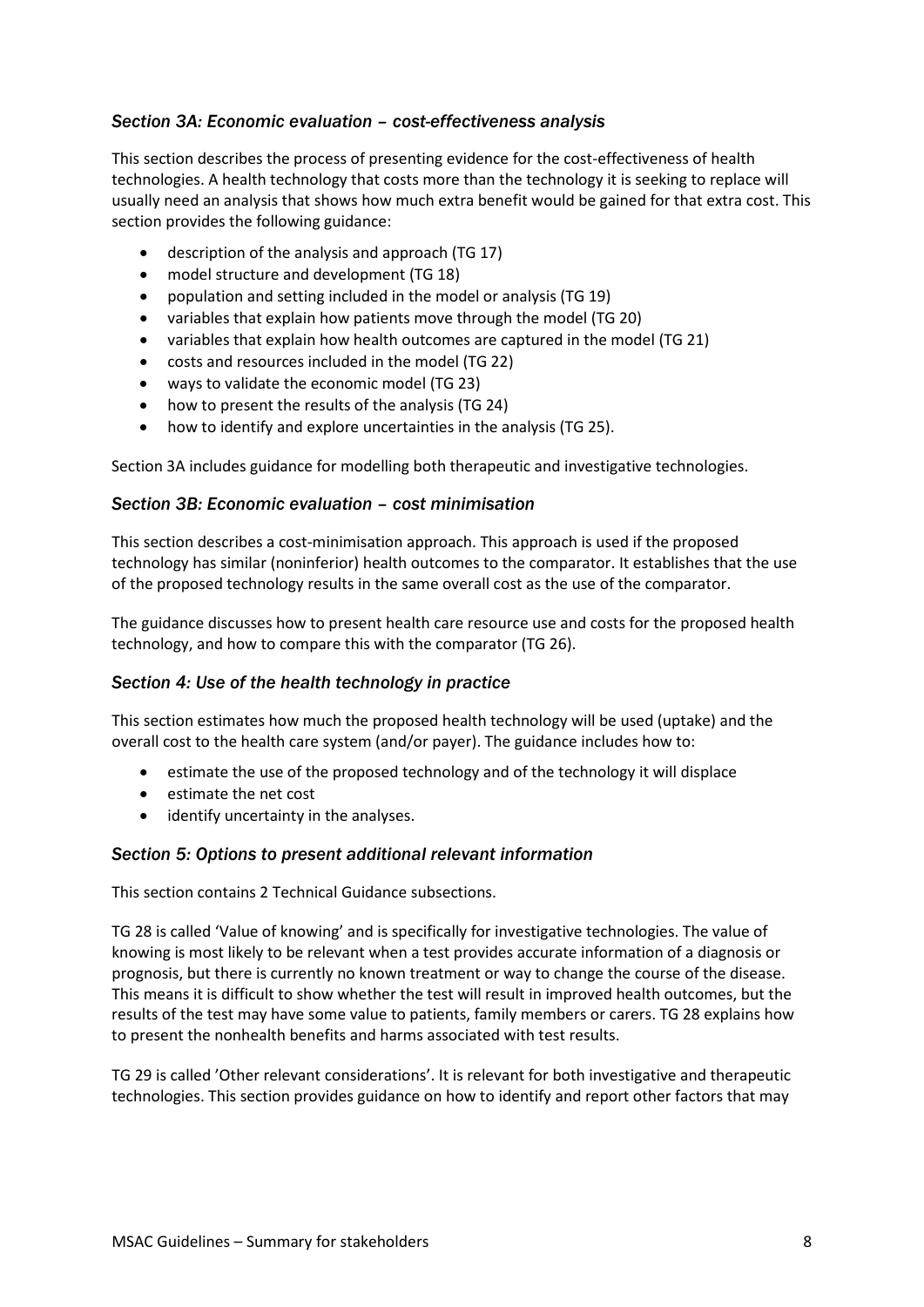### *Section 3A: Economic evaluation – cost-effectiveness analysis*

This section describes the process of presenting evidence for the cost-effectiveness of health technologies. A health technology that costs more than the technology it is seeking to replace will usually need an analysis that shows how much extra benefit would be gained for that extra cost. This section provides the following guidance:

- description of the analysis and approach (TG 17)
- model structure and development (TG 18)
- population and setting included in the model or analysis (TG 19)
- variables that explain how patients move through the model (TG 20)
- variables that explain how health outcomes are captured in the model (TG 21)
- costs and resources included in the model (TG 22)
- ways to validate the economic model (TG 23)
- how to present the results of the analysis (TG 24)
- how to identify and explore uncertainties in the analysis (TG 25).

Section 3A includes guidance for modelling both therapeutic and investigative technologies.

#### *Section 3B: Economic evaluation – cost minimisation*

This section describes a cost-minimisation approach. This approach is used if the proposed technology has similar (noninferior) health outcomes to the comparator. It establishes that the use of the proposed technology results in the same overall cost as the use of the comparator.

The guidance discusses how to present health care resource use and costs for the proposed health technology, and how to compare this with the comparator (TG 26).

#### *Section 4: Use of the health technology in practice*

This section estimates how much the proposed health technology will be used (uptake) and the overall cost to the health care system (and/or payer). The guidance includes how to:

- estimate the use of the proposed technology and of the technology it will displace
- estimate the net cost
- identify uncertainty in the analyses.

#### *Section 5: Options to present additional relevant information*

This section contains 2 Technical Guidance subsections.

TG 28 is called 'Value of knowing' and is specifically for investigative technologies. The value of knowing is most likely to be relevant when a test provides accurate information of a diagnosis or prognosis, but there is currently no known treatment or way to change the course of the disease. This means it is difficult to show whether the test will result in improved health outcomes, but the results of the test may have some value to patients, family members or carers. TG 28 explains how to present the nonhealth benefits and harms associated with test results.

TG 29 is called 'Other relevant considerations'. It is relevant for both investigative and therapeutic technologies. This section provides guidance on how to identify and report other factors that may